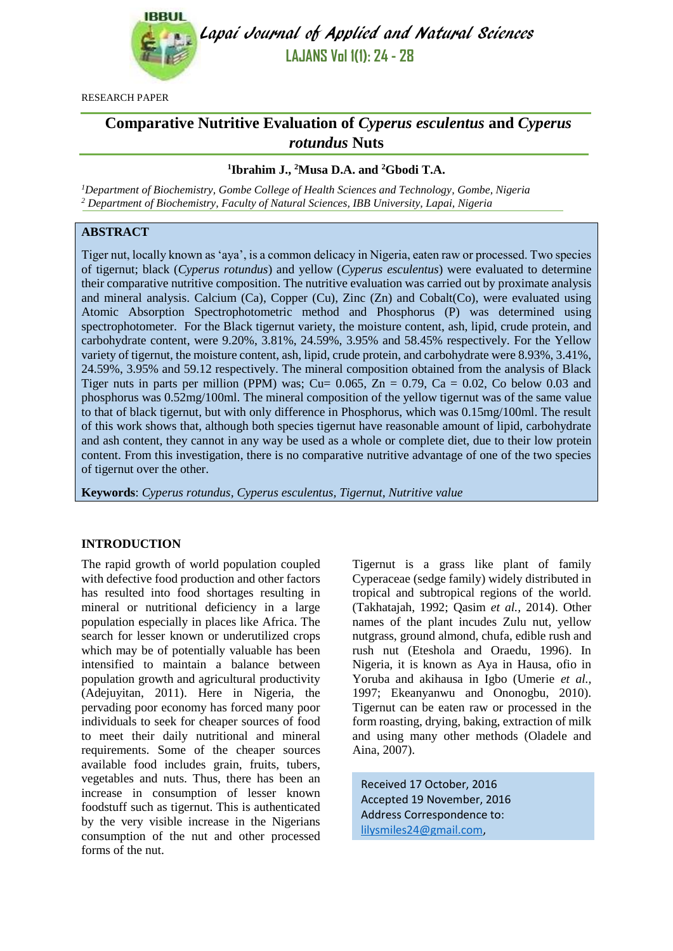

Lapai Journal of Applied and Natural Sciences **LAJANS Vol 1(1): 24 - 28**

RESEARCH PAPER

# **Comparative Nutritive Evaluation of** *Cyperus esculentus* **and** *Cyperus rotundus* **Nuts**

# **1 Ibrahim J., <sup>2</sup>Musa D.A. and <sup>2</sup>Gbodi T.A.**

*<sup>1</sup>Department of Biochemistry, Gombe College of Health Sciences and Technology, Gombe, Nigeria <sup>2</sup> Department of Biochemistry, Faculty of Natural Sciences, IBB University, Lapai, Nigeria*

# **ABSTRACT**

Tiger nut, locally known as 'aya', is a common delicacy in Nigeria, eaten raw or processed. Two species of tigernut; black (*Cyperus rotundus*) and yellow (*Cyperus esculentus*) were evaluated to determine their comparative nutritive composition. The nutritive evaluation was carried out by proximate analysis and mineral analysis. Calcium (Ca), Copper (Cu), Zinc (Zn) and Cobalt(Co), were evaluated using Atomic Absorption Spectrophotometric method and Phosphorus (P) was determined using spectrophotometer. For the Black tigernut variety, the moisture content, ash, lipid, crude protein, and carbohydrate content, were 9.20%, 3.81%, 24.59%, 3.95% and 58.45% respectively. For the Yellow variety of tigernut, the moisture content, ash, lipid, crude protein, and carbohydrate were 8.93%, 3.41%, 24.59%, 3.95% and 59.12 respectively. The mineral composition obtained from the analysis of Black Tiger nuts in parts per million (PPM) was; Cu=  $0.065$ , Zn = 0.79, Ca = 0.02, Co below 0.03 and phosphorus was 0.52mg/100ml. The mineral composition of the yellow tigernut was of the same value to that of black tigernut, but with only difference in Phosphorus, which was 0.15mg/100ml. The result of this work shows that, although both species tigernut have reasonable amount of lipid, carbohydrate and ash content, they cannot in any way be used as a whole or complete diet, due to their low protein content. From this investigation, there is no comparative nutritive advantage of one of the two species of tigernut over the other.

**Keywords**: *Cyperus rotundus, Cyperus esculentus, Tigernut, Nutritive value*

# **INTRODUCTION**

The rapid growth of world population coupled with defective food production and other factors has resulted into food shortages resulting in mineral or nutritional deficiency in a large population especially in places like Africa. The search for lesser known or underutilized crops which may be of potentially valuable has been intensified to maintain a balance between population growth and agricultural productivity (Adejuyitan, 2011). Here in Nigeria, the pervading poor economy has forced many poor individuals to seek for cheaper sources of food to meet their daily nutritional and mineral requirements. Some of the cheaper sources available food includes grain, fruits, tubers, vegetables and nuts. Thus, there has been an increase in consumption of lesser known foodstuff such as tigernut. This is authenticated by the very visible increase in the Nigerians consumption of the nut and other processed forms of the nut.

Tigernut is a grass like plant of family Cyperaceae (sedge family) widely distributed in tropical and subtropical regions of the world. (Takhatajah, 1992; Qasim *et al.,* 2014). Other names of the plant incudes Zulu nut, yellow nutgrass, ground almond, chufa, edible rush and rush nut (Eteshola and Oraedu, 1996). In Nigeria, it is known as Aya in Hausa, ofio in Yoruba and akihausa in Igbo (Umerie *et al.,*  1997; Ekeanyanwu and Ononogbu, 2010). Tigernut can be eaten raw or processed in the form roasting, drying, baking, extraction of milk and using many other methods (Oladele and Aina, 2007).

Received 17 October, 2016 Accepted 19 November, 2016 Address Correspondence to: [lilysmiles24@gmail.com,](mailto:lilysmiles24@gmail.com)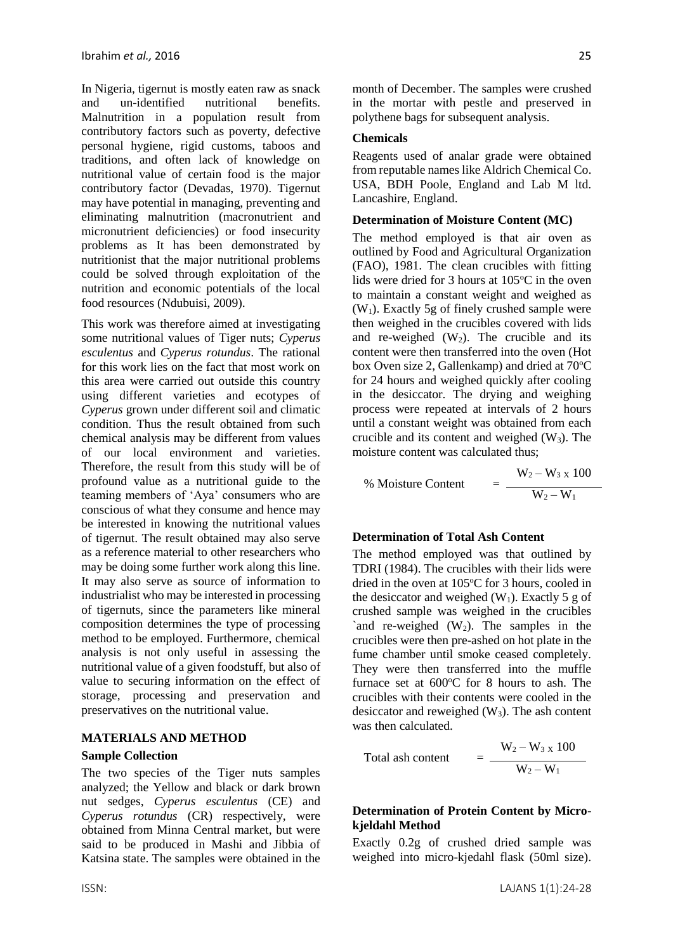In Nigeria, tigernut is mostly eaten raw as snack and un-identified nutritional benefits. Malnutrition in a population result from contributory factors such as poverty, defective personal hygiene, rigid customs, taboos and traditions, and often lack of knowledge on nutritional value of certain food is the major contributory factor (Devadas, 1970). Tigernut may have potential in managing, preventing and eliminating malnutrition (macronutrient and micronutrient deficiencies) or food insecurity problems as It has been demonstrated by nutritionist that the major nutritional problems could be solved through exploitation of the nutrition and economic potentials of the local food resources (Ndubuisi, 2009).

This work was therefore aimed at investigating some nutritional values of Tiger nuts; *Cyperus esculentus* and *Cyperus rotundus*. The rational for this work lies on the fact that most work on this area were carried out outside this country using different varieties and ecotypes of *Cyperus* grown under different soil and climatic condition. Thus the result obtained from such chemical analysis may be different from values of our local environment and varieties. Therefore, the result from this study will be of profound value as a nutritional guide to the teaming members of 'Aya' consumers who are conscious of what they consume and hence may be interested in knowing the nutritional values of tigernut. The result obtained may also serve as a reference material to other researchers who may be doing some further work along this line. It may also serve as source of information to industrialist who may be interested in processing of tigernuts, since the parameters like mineral composition determines the type of processing method to be employed. Furthermore, chemical analysis is not only useful in assessing the nutritional value of a given foodstuff, but also of value to securing information on the effect of storage, processing and preservation and preservatives on the nutritional value.

### **MATERIALS AND METHOD**

#### **Sample Collection**

The two species of the Tiger nuts samples analyzed; the Yellow and black or dark brown nut sedges, *Cyperus esculentus* (CE) and *Cyperus rotundus* (CR) respectively, were obtained from Minna Central market, but were said to be produced in Mashi and Jibbia of Katsina state. The samples were obtained in the month of December. The samples were crushed in the mortar with pestle and preserved in polythene bags for subsequent analysis.

### **Chemicals**

Reagents used of analar grade were obtained from reputable names like Aldrich Chemical Co. USA, BDH Poole, England and Lab M ltd. Lancashire, England.

#### **Determination of Moisture Content (MC)**

The method employed is that air oven as outlined by Food and Agricultural Organization (FAO), 1981. The clean crucibles with fitting lids were dried for 3 hours at  $105^{\circ}$ C in the oven to maintain a constant weight and weighed as  $(W_1)$ . Exactly 5g of finely crushed sample were then weighed in the crucibles covered with lids and re-weighed  $(W_2)$ . The crucible and its content were then transferred into the oven (Hot box Oven size 2, Gallenkamp) and dried at  $70^{\circ}$ C for 24 hours and weighed quickly after cooling in the desiccator. The drying and weighing process were repeated at intervals of 2 hours until a constant weight was obtained from each crucible and its content and weighed  $(W_3)$ . The moisture content was calculated thus;

$$
\% \text{ Moisture Content} = \frac{W_2 - W_3 \times 100}{W_2 - W_1}
$$

### **Determination of Total Ash Content**

The method employed was that outlined by TDRI (1984). The crucibles with their lids were dried in the oven at  $105^{\circ}$ C for 3 hours, cooled in the desiccator and weighed  $(W_1)$ . Exactly 5 g of crushed sample was weighed in the crucibles `and re-weighed  $(W_2)$ . The samples in the crucibles were then pre-ashed on hot plate in the fume chamber until smoke ceased completely. They were then transferred into the muffle furnace set at  $600^{\circ}$ C for 8 hours to ash. The crucibles with their contents were cooled in the desiccator and reweighed  $(W_3)$ . The ash content was then calculated.

Total ash content 
$$
= \frac{W_2 - W_3 \times 100}{W_2 - W_1}
$$

### **Determination of Protein Content by Microkjeldahl Method**

Exactly 0.2g of crushed dried sample was weighed into micro-kjedahl flask (50ml size).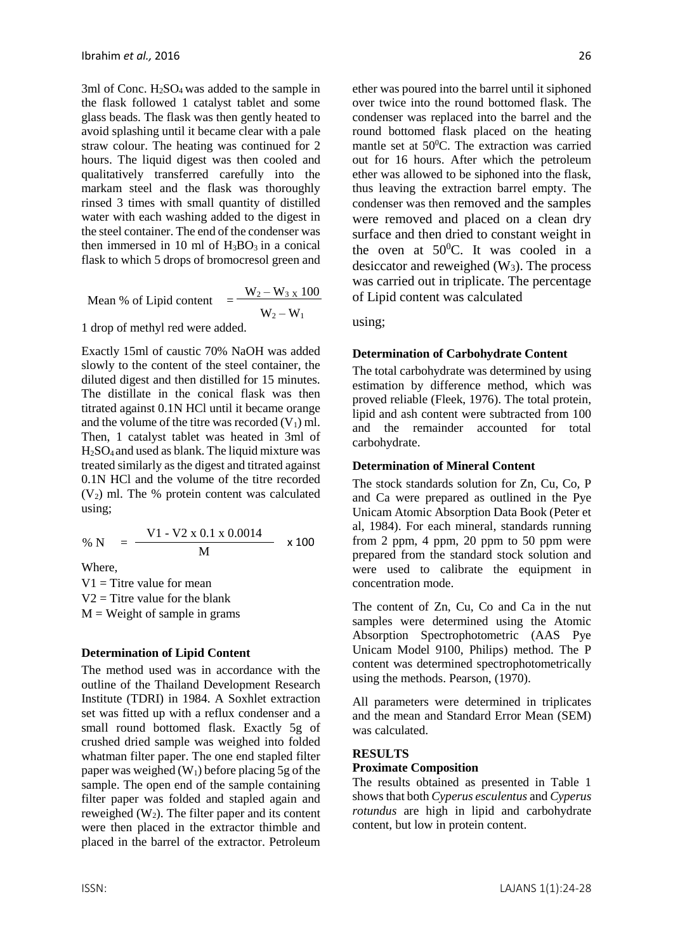3ml of Conc. H2SO4 was added to the sample in the flask followed 1 catalyst tablet and some glass beads. The flask was then gently heated to avoid splashing until it became clear with a pale straw colour. The heating was continued for 2 hours. The liquid digest was then cooled and qualitatively transferred carefully into the markam steel and the flask was thoroughly rinsed 3 times with small quantity of distilled water with each washing added to the digest in the steel container. The end of the condenser was then immersed in 10 ml of  $H_3BO_3$  in a conical flask to which 5 drops of bromocresol green and

Mean % of Lipid content 
$$
= \frac{W_2 - W_3 \times 100}{W_2 - W_1}
$$

1 drop of methyl red were added.

Exactly 15ml of caustic 70% NaOH was added slowly to the content of the steel container, the diluted digest and then distilled for 15 minutes. The distillate in the conical flask was then titrated against 0.1N HCl until it became orange and the volume of the titre was recorded  $(V_1)$  ml. Then, 1 catalyst tablet was heated in 3ml of H2SO4 and used as blank. The liquid mixture was treated similarly as the digest and titrated against 0.1N HCl and the volume of the titre recorded  $(V<sub>2</sub>)$  ml. The % protein content was calculated using;

% N = 
$$
\frac{V1 - V2 \times 0.1 \times 0.0014}{M} \times 100
$$

Where,

 $V1 =$  Titre value for mean  $V2$  = Titre value for the blank  $M = Weight of sample in grams$ 

#### **Determination of Lipid Content**

The method used was in accordance with the outline of the Thailand Development Research Institute (TDRI) in 1984. A Soxhlet extraction set was fitted up with a reflux condenser and a small round bottomed flask. Exactly 5g of crushed dried sample was weighed into folded whatman filter paper. The one end stapled filter paper was weighed  $(W_1)$  before placing 5g of the sample. The open end of the sample containing filter paper was folded and stapled again and reweighed  $(W_2)$ . The filter paper and its content were then placed in the extractor thimble and placed in the barrel of the extractor. Petroleum ether was poured into the barrel until it siphoned over twice into the round bottomed flask. The condenser was replaced into the barrel and the round bottomed flask placed on the heating mantle set at  $50^{\circ}$ C. The extraction was carried out for 16 hours. After which the petroleum ether was allowed to be siphoned into the flask, thus leaving the extraction barrel empty. The condenser was then removed and the samples were removed and placed on a clean dry surface and then dried to constant weight in the oven at  $50^0$ C. It was cooled in a desiccator and reweighed  $(W_3)$ . The process was carried out in triplicate. The percentage of Lipid content was calculated

using;

#### **Determination of Carbohydrate Content**

The total carbohydrate was determined by using estimation by difference method, which was proved reliable (Fleek, 1976). The total protein, lipid and ash content were subtracted from 100 and the remainder accounted for total carbohydrate.

#### **Determination of Mineral Content**

The stock standards solution for Zn, Cu, Co, P and Ca were prepared as outlined in the Pye Unicam Atomic Absorption Data Book (Peter et al, 1984). For each mineral, standards running from 2 ppm, 4 ppm, 20 ppm to 50 ppm were prepared from the standard stock solution and were used to calibrate the equipment in concentration mode.

The content of Zn, Cu, Co and Ca in the nut samples were determined using the Atomic Absorption Spectrophotometric (AAS Pye Unicam Model 9100, Philips) method. The P content was determined spectrophotometrically using the methods. Pearson, (1970).

All parameters were determined in triplicates and the mean and Standard Error Mean (SEM) was calculated.

#### **RESULTS**

#### **Proximate Composition**

The results obtained as presented in Table 1 shows that both *Cyperus esculentus* and *Cyperus rotundus* are high in lipid and carbohydrate content, but low in protein content.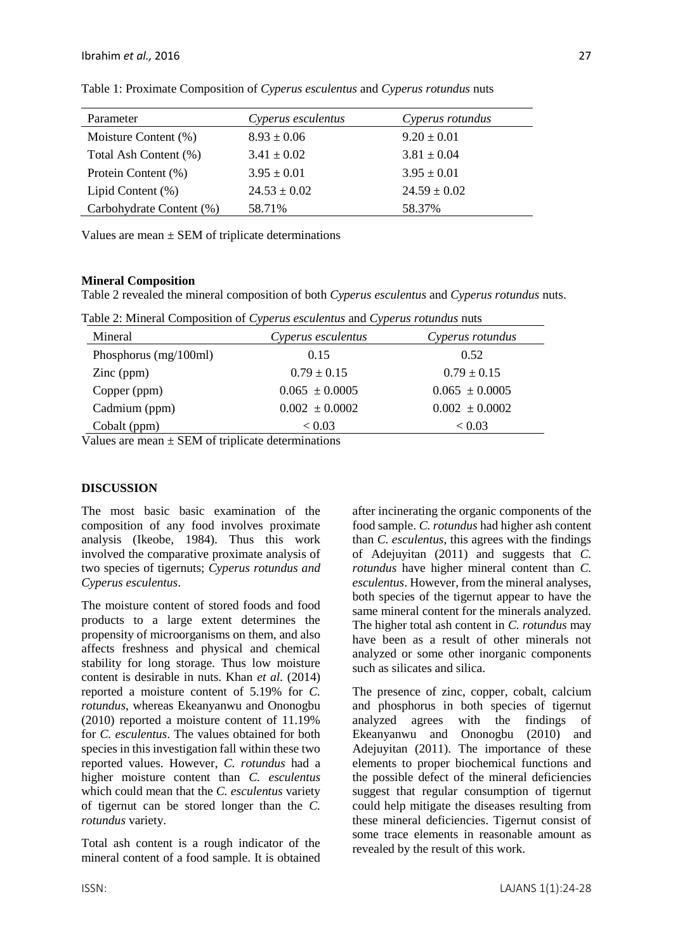| Parameter                | Cyperus esculentus | Cyperus rotundus |
|--------------------------|--------------------|------------------|
| Moisture Content (%)     | $8.93 \pm 0.06$    | $9.20 \pm 0.01$  |
| Total Ash Content (%)    | $3.41 \pm 0.02$    | $3.81 \pm 0.04$  |
| Protein Content (%)      | $3.95 \pm 0.01$    | $3.95 \pm 0.01$  |
| Lipid Content (%)        | $24.53 \pm 0.02$   | $24.59 \pm 0.02$ |
| Carbohydrate Content (%) | 58.71%             | 58.37%           |

Table 1: Proximate Composition of *Cyperus esculentus* and *Cyperus rotundus* nuts

Values are mean  $\pm$  SEM of triplicate determinations

# **Mineral Composition**

Table 2 revealed the mineral composition of both *Cyperus esculentus* and *Cyperus rotundus* nuts.

Table 2: Mineral Composition of *Cyperus esculentus* and *Cyperus rotundus* nuts

| Mineral                 | Cyperus esculentus | Cyperus rotundus   |
|-------------------------|--------------------|--------------------|
| Phosphorus $(mg/100ml)$ | 0.15               | 0.52               |
| $\text{Zinc (ppm)}$     | $0.79 \pm 0.15$    | $0.79 \pm 0.15$    |
| Copper (ppm)            | $0.065 \pm 0.0005$ | $0.065 \pm 0.0005$ |
| Cadmium (ppm)           | $0.002 \pm 0.0002$ | $0.002 \pm 0.0002$ |
| Cobalt (ppm)            | < 0.03             | < 0.03             |

Values are mean  $\pm$  SEM of triplicate determinations

# **DISCUSSION**

The most basic basic examination of the composition of any food involves proximate analysis (Ikeobe, 1984). Thus this work involved the comparative proximate analysis of two species of tigernuts; *Cyperus rotundus and Cyperus esculentus*.

The moisture content of stored foods and food products to a large extent determines the propensity of microorganisms on them, and also affects freshness and physical and chemical stability for long storage. Thus low moisture content is desirable in nuts. Khan *et al.* (2014) reported a moisture content of 5.19% for *C. rotundus*, whereas Ekeanyanwu and Ononogbu (2010) reported a moisture content of 11.19% for *C. esculentus*. The values obtained for both species in this investigation fall within these two reported values. However, *C. rotundus* had a higher moisture content than *C. esculentus* which could mean that the *C. esculentus* variety of tigernut can be stored longer than the *C. rotundus* variety.

Total ash content is a rough indicator of the mineral content of a food sample. It is obtained after incinerating the organic components of the food sample. *C. rotundus* had higher ash content than *C. esculentus*, this agrees with the findings of Adejuyitan (2011) and suggests that *C. rotundus* have higher mineral content than *C. esculentus*. However, from the mineral analyses, both species of the tigernut appear to have the same mineral content for the minerals analyzed. The higher total ash content in *C. rotundus* may have been as a result of other minerals not analyzed or some other inorganic components such as silicates and silica.

The presence of zinc, copper, cobalt, calcium and phosphorus in both species of tigernut analyzed agrees with the findings of Ekeanyanwu and Ononogbu (2010) and Adejuyitan (2011). The importance of these elements to proper biochemical functions and the possible defect of the mineral deficiencies suggest that regular consumption of tigernut could help mitigate the diseases resulting from these mineral deficiencies. Tigernut consist of some trace elements in reasonable amount as revealed by the result of this work.